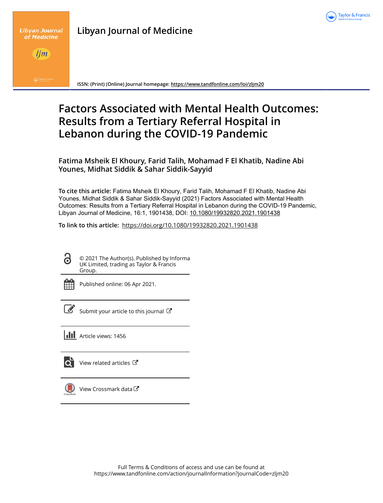

|  | <b>Libyan Journal of Medicine</b> |
|--|-----------------------------------|
|  |                                   |



lim

**ISSN: (Print) (Online) Journal homepage:<https://www.tandfonline.com/loi/zljm20>**

# **Factors Associated with Mental Health Outcomes: Results from a Tertiary Referral Hospital in Lebanon during the COVID-19 Pandemic**

**Fatima Msheik El Khoury, Farid Talih, Mohamad F El Khatib, Nadine Abi Younes, Midhat Siddik & Sahar Siddik-Sayyid**

**To cite this article:** Fatima Msheik El Khoury, Farid Talih, Mohamad F El Khatib, Nadine Abi Younes, Midhat Siddik & Sahar Siddik-Sayyid (2021) Factors Associated with Mental Health Outcomes: Results from a Tertiary Referral Hospital in Lebanon during the COVID-19 Pandemic, Libyan Journal of Medicine, 16:1, 1901438, DOI: [10.1080/19932820.2021.1901438](https://www.tandfonline.com/action/showCitFormats?doi=10.1080/19932820.2021.1901438)

**To link to this article:** <https://doi.org/10.1080/19932820.2021.1901438>

© 2021 The Author(s). Published by Informa UK Limited, trading as Taylor & Francis Group.

|  | - |  |
|--|---|--|
|  |   |  |
|  |   |  |
|  |   |  |

ര

Published online: 06 Apr 2021.

| ł<br>I |
|--------|

[Submit your article to this journal](https://www.tandfonline.com/action/authorSubmission?journalCode=zljm20&show=instructions)  $\mathbb{Z}$ 

**Article views: 1456** 



 $\overrightarrow{O}$  [View related articles](https://www.tandfonline.com/doi/mlt/10.1080/19932820.2021.1901438)  $\overrightarrow{C}$ 



[View Crossmark data](http://crossmark.crossref.org/dialog/?doi=10.1080/19932820.2021.1901438&domain=pdf&date_stamp=2021-04-06) $C$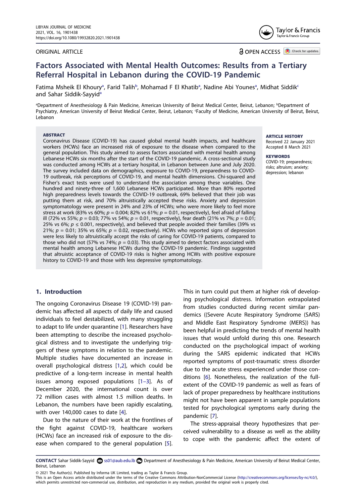#### ORIGINAL ARTICLE



**a** OPEN ACCESS **D** Check for updates

# **Factors Associated with Mental Health Outcomes: Results from a Tertiary Referral Hospital in Lebanon during the COVID-19 Pandemic**

Fatima Msheik El Khoury<sup>a</sup>, Farid Talih<sup>[b](#page-1-0)</sup>, Moh[a](#page-1-0)mad F El Khatib<sup>a</sup>, Nadine Abi Younes<sup>a</sup>, Midhat Siddik<sup>c</sup> [a](#page-1-0)nd Sahar Siddik-Sayyid<sup>a</sup>

<span id="page-1-1"></span><span id="page-1-0"></span><sup>a</sup>Department of Anesthesiology & Pain Medicine, American University of Beirut Medical Center, Beirut, Lebanon; <sup>b</sup>Department of Psychiatry, American University of Beirut Medical Center, Beirut, Lebanon; 'Faculty of Medicine, American University of Beirut, Beirut, Lebanon

#### **ABSTRACT**

Coronavirus Disease (COVID-19) has caused global mental health impacts, and healthcare workers (HCWs) face an increased risk of exposure to the disease when compared to the general population. This study aimed to assess factors associated with mental health among Lebanese HCWs six months after the start of the COVID-19 pandemic. A cross-sectional study was conducted among HCWs at a tertiary hospital, in Lebanon between June and July 2020. The survey included data on demographics, exposure to COVID-19, preparedness to COVID-19 outbreak, risk perceptions of COVID-19, and mental health dimensions. Chi-squared and Fisher's exact tests were used to understand the association among these variables. One hundred and ninety-three of 1,600 Lebanese HCWs participated. More than 80% reported high preparedness levels towards the COVID-19 outbreak, 69% believed that their job was putting them at risk, and 70% altruistically accepted these risks. Anxiety and depression symptomatology were present in 24% and 23% of HCWs; who were more likely to feel more stress at work (83% vs 60%; *p* = 0.004; 82% vs 61%; *p* = 0.01, respectively), feel afraid of falling ill (72% vs 55%; *p* = 0.03; 77% vs 54%; *p* = 0.01, respectively), fear death (21% vs 7%; *p* = 0.01; 25% vs 6%;  $p \le 0.001$ , respectively), and believed that people avoided their families (39% vs 21%;  $p = 0.01$ ; 35% vs 65%;  $p = 0.02$ , respectively). HCWs who reported signs of depression were less likely to altruistically accept the risks of caring for COVID-19 patients, compared to those who did not (57% vs 74%; *p =* 0.03). This study aimed to detect factors associated with mental health among Lebanese HCWs during the COVID-19 pandemic. Findings suggested that altruistic acceptance of COVID-19 risks is higher among HCWs with positive exposure history to COVID-19 and those with less depressive symptomatology.

## **1. Introduction**

The ongoing Coronavirus Disease 19 (COVID-19) pandemic has affected all aspects of daily life and caused individuals to feel destabilized, with many struggling to adapt to life under quarantine [[1\]](#page-7-0). Researchers have been attempting to describe the increased psychological distress and to investigate the underlying triggers of these symptoms in relation to the pandemic. Multiple studies have documented an increase in overall psychological distress [[1,](#page-7-0)[2](#page-7-1)], which could be predictive of a long-term increase in mental health issues among exposed populations [\[1–3\]](#page-7-0). As of December 2020, the international count is over 72 million cases with almost 1.5 million deaths. In Lebanon, the numbers have been rapidly escalating, with over 140,000 cases to date [\[4\]](#page-8-0).

<span id="page-1-5"></span><span id="page-1-4"></span><span id="page-1-3"></span><span id="page-1-2"></span>Due to the nature of their work at the frontlines of the fight against COVID-19, healthcare workers (HCWs) face an increased risk of exposure to the disease when compared to the general population [[5\]](#page-8-1).

This in turn could put them at higher risk of developing psychological distress. Information extrapolated from studies conducted during recent similar pandemics ((Severe Acute Respiratory Syndrome (SARS) and Middle East Respiratory Syndrome (MERS)) has been helpful in predicting the trends of mental health issues that would unfold during this one. Research conducted on the psychological impact of working during the SARS epidemic indicated that HCWs reported symptoms of post-traumatic stress disorder due to the acute stress experienced under those conditions [\[6\]](#page-8-2). Nonetheless, the realization of the fullextent of the COVID-19 pandemic as well as fears of lack of proper preparedness by healthcare institutions might not have been apparent in sample populations tested for psychological symptoms early during the pandemic [[7\]](#page-8-3).

<span id="page-1-7"></span><span id="page-1-6"></span>The stress-appraisal theory hypothesizes that perceived vulnerability to a disease as well as the ability to cope with the pandemic affect the extent of

© 2021 The Author(s). Published by Informa UK Limited, trading as Taylor & Francis Group.

This is an Open Access article distributed under the terms of the Creative Commons Attribution-NonCommercial License (http://creativecommons.org/licenses/by-nc/4.0/), which permits unrestricted non-commercial use, distribution, and reproduction in any medium, provided the original work is properly cited.

**ARTICLE HISTORY** Received 22 January 2021 Accepted 8 March 2021

## **KEYWORDS**

COVID-19; preparedness; risks; altruism; anxiety; depression; lebanon

CONTACT Sahar Siddik-Sayyid S ss01@aub.edu.lb Department of Anesthesiology & Pain Medicine, American University of Beirut Medical Center, Beirut, Lebanon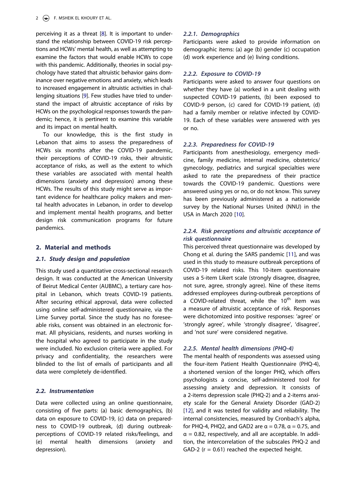<span id="page-2-0"></span>perceiving it as a threat [[8\]](#page-8-4). It is important to understand the relationship between COVID-19 risk perceptions and HCWs' mental health, as well as attempting to examine the factors that would enable HCWs to cope with this pandemic. Additionally, theories in social psychology have stated that altruistic behavior gains dominance over negative emotions and anxiety, which leads to increased engagement in altruistic activities in challenging situations [[9\]](#page-8-5). Few studies have tried to understand the impact of altruistic acceptance of risks by HCWs on the psychological responses towards the pandemic; hence, it is pertinent to examine this variable and its impact on mental health.

<span id="page-2-1"></span>To our knowledge, this is the first study in Lebanon that aims to assess the preparedness of HCWs six months after the COVID-19 pandemic, their perceptions of COVID-19 risks, their altruistic acceptance of risks, as well as the extent to which these variables are associated with mental health dimensions (anxiety and depression) among these HCWs. The results of this study might serve as important evidence for healthcare policy makers and mental health advocates in Lebanon, in order to develop and implement mental health programs, and better design risk communication programs for future pandemics.

## **2. Material and methods**

## *2.1. Study design and population*

This study used a quantitative cross-sectional research design. It was conducted at the American University of Beirut Medical Center (AUBMC), a tertiary care hospital in Lebanon, which treats COVID-19 patients. After securing ethical approval, data were collected using online self-administered questionnaire, via the Lime Survey portal. Since the study has no foreseeable risks, consent was obtained in an electronic format. All physicians, residents, and nurses working in the hospital who agreed to participate in the study were included. No exclusion criteria were applied. For privacy and confidentiality, the researchers were blinded to the list of emails of participants and all data were completely de-identified.

## *2.2. Instrumentation*

Data were collected using an online questionnaire, consisting of five parts: (a) basic demographics, (b) data on exposure to COVID-19, (c) data on preparedness to COVID-19 outbreak, (d) during outbreakperceptions of COVID-19 related risks/feelings, and (e) mental health dimensions (anxiety and depression).

## *2.2.1. Demographics*

Participants were asked to provide information on demographic items: (a) age (b) gender (c) occupation (d) work experience and (e) living conditions.

## *2.2.2. Exposure to COVID-19*

Participants were asked to answer four questions on whether they have (a) worked in a unit dealing with suspected COVID-19 patients, (b) been exposed to COVID-9 person, (c) cared for COVID-19 patient, (d) had a family member or relative infected by COVID-19. Each of these variables were answered with yes or no.

## *2.2.3. Preparedness for COVID-19*

Participants from anesthesiology, emergency medicine, family medicine, internal medicine, obstetrics/ gynecology, pediatrics and surgical specialties were asked to rate the preparedness of their practice towards the COVID-19 pandemic. Questions were answered using yes or no, or do not know. This survey has been previously administered as a nationwide survey by the National Nurses United (NNU) in the USA in March 2020 [[10](#page-8-6)].

## <span id="page-2-2"></span>*2.2.4. Risk perceptions and altruistic acceptance of risk questionnaire*

<span id="page-2-3"></span>This perceived threat questionnaire was developed by Chong et al. during the SARS pandemic [[11\]](#page-8-7), and was used in this study to measure outbreak perceptions of COVID-19 related risks. This 10-item questionnaire uses a 5-item Likert scale (strongly disagree, disagree, not sure, agree, strongly agree). Nine of these items addressed employees during-outbreak perceptions of a COVID-related threat, while the 10<sup>th</sup> item was a measure of altruistic acceptance of risk. Responses were dichotomized into positive responses: 'agree' or 'strongly agree', while 'strongly disagree', 'disagree', and 'not sure' were considered negative.

## *2.2.5. Mental health dimensions (PHQ-4)*

<span id="page-2-4"></span>The mental health of respondents was assessed using the four-item Patient Health Questionnaire (PHQ-4), a shortened version of the longer PHQ, which offers psychologists a concise, self-administered tool for assessing anxiety and depression. It consists of a 2-items depression scale (PHQ-2) and a 2-items anxiety scale for the General Anxiety Disorder (GAD-2) [\[12\]](#page-8-8), and it was tested for validity and reliability. The internal consistencies, measured by Cronbach's alpha, for PHQ-4, PHQ2, and GAD2 are  $\alpha = 0.78$ ,  $\alpha = 0.75$ , and  $\alpha$  = 0.82, respectively, and all are acceptable. In addition, the intercorrelation of the subscales PHQ-2 and GAD-2 ( $r = 0.61$ ) reached the expected height.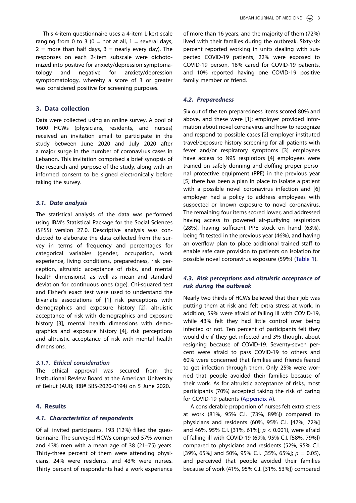This 4-item questionnaire uses a 4-item Likert scale ranging from 0 to 3 ( $0 =$  not at all,  $1 =$  several days,  $2 =$  more than half days,  $3 =$  nearly every day). The responses on each 2-item subscale were dichotomized into positive for anxiety/depression symptomatology and negative for anxiety/depression symptomatology, whereby a score of 3 or greater was considered positive for screening purposes.

## **3. Data collection**

Data were collected using an online survey. A pool of 1600 HCWs (physicians, residents, and nurses) received an invitation email to participate in the study between June 2020 and July 2020 after a major surge in the number of coronavirus cases in Lebanon. This invitation comprised a brief synopsis of the research and purpose of the study, along with an informed consent to be signed electronically before taking the survey.

#### *3.1. Data analysis*

The statistical analysis of the data was performed using IBM's Statistical Package for the Social Sciences (SPSS) version 27.0. Descriptive analysis was conducted to elaborate the data collected from the survey in terms of frequency and percentages for categorical variables (gender, occupation, work experience, living conditions, preparedness, risk perception, altruistic acceptance of risks, and mental health dimensions), as well as mean and standard deviation for continuous ones (age). Chi-squared test and Fisher's exact test were used to understand the bivariate associations of [1] risk perceptions with demographics and exposure history [2], altruistic acceptance of risk with demographics and exposure history [3], mental health dimensions with demographics and exposure history [4], risk perceptions and altruistic acceptance of risk with mental health dimensions.

## *3.1.1. Ethical consideration*

The ethical approval was secured from the Institutional Review Board at the American University of Beirut (AUB; IRB# SBS-2020-0194) on 5 June 2020.

#### **4. Results**

#### *4.1. Characteristics of respondents*

Of all invited participants, 193 (12%) filled the questionnaire. The surveyed HCWs comprised 57% women and 43% men with a mean age of 38 (21–75) years. Thirty-three percent of them were attending physicians, 24% were residents, and 43% were nurses. Thirty percent of respondents had a work experience

of more than 16 years, and the majority of them (72%) lived with their families during the outbreak. Sixty-six percent reported working in units dealing with suspected COVID-19 patients, 22% were exposed to COVID-19 person, 18% cared for COVID-19 patients, and 10% reported having one COVID-19 positive family member or friend.

#### *4.2. Preparedness*

Six out of the ten preparedness items scored 80% and above, and these were [1]: employer provided information about novel coronavirus and how to recognize and respond to possible cases [2] employer instituted travel/exposure history screening for all patients with fever and/or respiratory symptoms [3] employees have access to N95 respirators [4] employees were trained on safely donning and doffing proper personal protective equipment (PPE) in the previous year [5] there has been a plan in place to isolate a patient with a possible novel coronavirus infection and [6] employer had a policy to address employees with suspected or known exposure to novel coronavirus. The remaining four items scored lower, and addressed having access to powered air-purifying respirators (28%), having sufficient PPE stock on hand (63%), being fit tested in the previous year (46%), and having an overflow plan to place additional trained staff to enable safe care provision to patients on isolation for possible novel coronavirus exposure (59%) [\(Table 1](#page-4-0)).

## *4.3. Risk perceptions and altruistic acceptance of risk during the outbreak*

Nearly two thirds of HCWs believed that their job was putting them at risk and felt extra stress at work. In addition, 59% were afraid of falling ill with COVID-19, while 43% felt they had little control over being infected or not. Ten percent of participants felt they would die if they get infected and 3% thought about resigning because of COVID-19. Seventy-seven percent were afraid to pass COVID-19 to others and 60% were concerned that families and friends feared to get infection through them. Only 25% were worried that people avoided their families because of their work. As for altruistic acceptance of risks, most participants (70%) accepted taking the risk of caring for COVID-19 patients ([Appendix A\)](#page-9-0).

A considerable proportion of nurses felt extra stress at work (81%, 95% C.I. [73%, 89%]) compared to physicians and residents (60%, 95% C.I. [47%, 72%] and 46%, 95% C.I. [31%, 61%]; *p <* 0.001), were afraid of falling ill with COVID-19 (69%, 95% C.I. [58%, 79%]) compared to physicians and residents (52%, 95% C.I. [39%, 65%] and 50%, 95% C.I. [35%, 65%]; *p* = 0.05), and perceived that people avoided their families because of work (41%, 95% C.I. [31%, 53%]) compared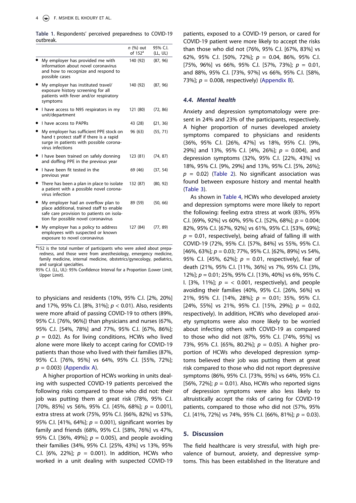<span id="page-4-0"></span>**Table 1.** Respondents' perceived preparedness to COVID-19 outbreak.

|                                                                                                                                                                      | $n$ (%) out<br>of $152a$ | 95% C.I.<br>(LL, UL) |
|----------------------------------------------------------------------------------------------------------------------------------------------------------------------|--------------------------|----------------------|
| My employer has provided me with<br>information about novel coronavirus<br>and how to recognize and respond to<br>possible cases                                     | 140 (92)                 | (87, 96)             |
| My employer has instituted travel/<br>exposure history screening for all<br>patients with fever and/or respiratory<br>symptoms                                       | 140 (92)                 | (87, 96)             |
| I have access to N95 respirators in my<br>unit/department                                                                                                            | 121 (80)                 | (72, 86)             |
| I have access to PAPRs                                                                                                                                               | 43 (28)                  | (21, 36)             |
| My employer has sufficient PPE stock on<br>hand t protect staff if there is a rapid<br>surge in patients with possible corona-<br>virus infections                   | 96 (63)                  | (55, 71)             |
| I have been trained on safely donning<br>and doffing PPE in the previous year                                                                                        | 123 (81)                 | (74, 87)             |
| I have been fit tested in the<br>previous year                                                                                                                       | 69 (46)                  | (37, 54)             |
| There has been a plan in place to isolate<br>a patient with a possible novel corona-<br>virus infection                                                              | 132 (87)                 | (80, 92)             |
| My employer had an overflow plan to<br>place additional, trained staff to enable<br>safe care provision to patients on isola-<br>tion for possible novel coronavirus | 89 (59)                  | (50, 66)             |
| My employer has a policy to address<br>employees with suspected or known<br>exposure to novel coronavirus                                                            | 127 (84)                 | (77, 89)             |

<sup>a</sup>152 is the total number of participants who were asked about preparedness, and those were from anesthesiology, emergency medicine, family medicine, internal medicine, obstetrics/gynecology, pediatrics, and surgical specialties.

95% C.I. (LL, UL): 95% Confidence Interval for a Proportion (Lower Limit, Upper Limit).

to physicians and residents (10%, 95% C.I. [2%, 20%] and 17%, 95% C.I. [8%, 31%]; *p* < 0.01). Also, residents were more afraid of passing COVID-19 to others (89%, 95% C.I. [76%, 96%]) than physicians and nurses (67%, 95% C.I. [54%, 78%] and 77%, 95% C.I. [67%, 86%];  $p = 0.02$ ). As for living conditions, HCWs who lived alone were more likely to accept caring for COVID-19 patients than those who lived with their families (87%, 95% C.I. [76%, 95%] vs 64%, 95% C.I. [55%, 72%]; *p* = 0.003) [\(Appendix A](#page-9-0)).

A higher proportion of HCWs working in units dealing with suspected COVID-19 patients perceived the following risks compared to those who did not: their job was putting them at great risk (78%, 95% C.I. [70%, 85%] vs 56%, 95% C.I. [45%, 68%]; *p* = 0.001), extra stress at work (75%, 95% C.I. [66%, 82%] vs 53%, 95% C.I. [41%, 64%]; *p* = 0.001), significant worries by family and friends (68%, 95% C.I. [58%, 76%] vs 47%, 95% C.I. [36%, 49%]; *p* = 0.005), and people avoiding their families (34%, 95% C.I. [25%, 43%] vs 13%, 95% C.I. [6%, 22%];  $p = 0.001$ ). In addition, HCWs who worked in a unit dealing with suspected COVID-19

patients, exposed to a COVID-19 person, or cared for COVID-19 patient were more likely to accept the risks than those who did not (76%, 95% C.I. [67%, 83%] vs 62%, 95% C.I. [50%, 72%]; *p* = 0.04, 86%, 95% C.I. [75%, 96%] vs 66%, 95% C.I. [57%, 73%]; *p* = 0.01, and 88%, 95% C.I. [73%, 97%] vs 66%, 95% C.I. [58%, 73%]; *p* = 0.008, respectively) ([Appendix B](#page-10-0)).

#### *4.4. Mental health*

Anxiety and depression symptomatology were present in 24% and 23% of the participants, respectively. A higher proportion of nurses developed anxiety symptoms compared to physicians and residents (36%, 95% C.I. [26%, 47%] vs 18%, 95% C.I. [9%, 29%] and 13%, 95% C.I. [4%, 26%]; *p* = 0.004), and depression symptoms (32%, 95% C.I. [22%, 43%] vs 18%, 95% C.I. [9%, 29%] and 13%, 95% C.I. [5%, 26%]; *p* = 0.02) [\(Table 2\)](#page-5-0). No significant association was found between exposure history and mental health [\(Table 3\)](#page-5-1).

As shown in [Table 4,](#page-5-2) HCWs who developed anxiety and depression symptoms were more likely to report the following: feeling extra stress at work (83%, 95% C.I. [69%, 92%] vs 60%, 95% C.I. [52%, 68%]; *p* = 0.004; 82%, 95% C.I. [67%, 92%] vs 61%, 95% C.I. [53%, 69%];  $p = 0.01$ , respectively), being afraid of falling ill with COVID-19 (72%, 95% C.I. [57%, 84%] vs 55%, 95% C.I. [46%, 63%]; *p* = 0.03; 77%, 95% C.I. [62%, 89%] vs 54%, 95% C.I. [45%, 62%]; *p* = 0.01, respectively), fear of death (21%, 95% C.I. [11%, 36%] vs 7%, 95% C.I. [3%, 12%]; *p* = 0.01; 25%, 95% C.I. [13%, 40%] vs 6%, 95% C. I.  $[3\%, 11\%]$ ;  $p = \langle 0.001$ , respectively), and people avoiding their families (40%, 95% C.I. [26%, 56%] vs 21%, 95% C.I. [14%, 28%]; *p* = 0.01; 35%, 95% C.I. [24%, 55%] vs 21%, 95% C.I. [15%, 29%]; *p* = 0.02, respectively). In addition, HCWs who developed anxiety symptoms were also more likely to be worried about infecting others with COVID-19 as compared to those who did not (87%, 95% C.I. [74%, 95%] vs 73%, 95% C.I. [65%, 80.2%]; *p* = 0.05). A higher proportion of HCWs who developed depression symptoms believed their job was putting them at great risk compared to those who did not report depressive symptoms (86%, 95% C.I. [73%, 95%] vs 64%, 95% C.I. [56%, 72%];  $p = 0.01$ ). Also, HCWs who reported signs of depression symptoms were also less likely to altruistically accept the risks of caring for COVID-19 patients, compared to those who did not (57%, 95% C.I. [41%, 72%] vs 74%, 95% C.I. [66%, 81%]; *p =* 0.03).

## **5. Discussion**

The field healthcare is very stressful, with high prevalence of burnout, anxiety, and depressive symptoms. This has been established in the literature and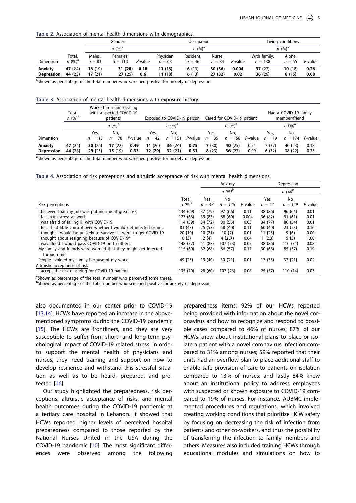<span id="page-5-0"></span>**Table 2.** Association of mental health dimensions with demographics.

|                              |                     |                    | Gender                |             |                        | Occupation            |                    |               |                           | Living conditions  |              |
|------------------------------|---------------------|--------------------|-----------------------|-------------|------------------------|-----------------------|--------------------|---------------|---------------------------|--------------------|--------------|
|                              |                     |                    | $n (%)^a$             |             |                        | $n (%)^a$             |                    |               |                           | $n (%)^a$          |              |
| Dimension                    | Total,<br>$n (%)^a$ | Males,<br>$n = 83$ | Females,<br>$n = 110$ | P-value     | Physician,<br>$n = 63$ | Resident,<br>$n = 46$ | Nurse,<br>$n = 84$ | P-value       | With family,<br>$n = 138$ | Alone,<br>$n = 55$ | P-value      |
| Anxiety<br><b>Depression</b> | 47 (24)<br>44 (23)  | 16 (19)<br>17 (21) | 31 (28)<br>27 (25)    | 0.18<br>0.6 | 11 (18)<br>11 (18)     | 6(13)<br>6(13)        | 30 (36)<br>27 (32) | 0.004<br>0.02 | 37(27)<br>36 $(26)$       | 10(18)<br>8(15)    | 0.26<br>0.08 |

**a** Shown as percentage of the total number who screened positive for anxiety or depression.

<span id="page-5-1"></span>**Table 3.** Association of mental health dimensions with exposure history.

|                              | Total,<br>$n (%)^a$ |                     | Worked in a unit dealing<br>with suspected COVID-19<br>patients |              |                   | Exposed to COVID-19 person |              |                | Cared for COVID-19 patient |              |                | Had a COVID-19 family<br>member/friend |              |
|------------------------------|---------------------|---------------------|-----------------------------------------------------------------|--------------|-------------------|----------------------------|--------------|----------------|----------------------------|--------------|----------------|----------------------------------------|--------------|
|                              |                     |                     | $n (%)^a$                                                       |              |                   | $n (%)^a$                  |              |                | $n (%)^a$                  |              |                | $n (%)^a$                              |              |
|                              |                     | Yes,                | No.                                                             |              | Yes.              | No,                        |              | Yes,           | No.                        |              | Yes.           | No,                                    |              |
| Dimension                    |                     | $n = 115$           | $n = 78$                                                        | P-value      | $n = 42$          | $n = 151$                  | P-value      | $n = 35$       | $n = 158$                  | P-value      | $n = 19$       | $n = 174$                              | P-value      |
| Anxiety<br><b>Depression</b> | 47 (24)<br>44 (23)  | 30 $(26)$<br>29(25) | 17(22)<br>15(19)                                                | 0.49<br>0.33 | 11(26)<br>12 (29) | 36 $(24)$<br>32(21)        | 0.75<br>0.31 | 7(30)<br>8(23) | 40 (25)<br>36(23)          | 0.51<br>0.99 | 7(37)<br>6(32) | 40 (23)<br>38 (22)                     | 0.18<br>0.33 |

**a** Shown as percentage of the total number who screened positive for anxiety or depression.

<span id="page-5-2"></span>**Table 4.** Association of risk perceptions and altruistic acceptance of risk with mental health dimensions.

|                                                                               |           |          | Anxiety   |           |          | Depression |         |
|-------------------------------------------------------------------------------|-----------|----------|-----------|-----------|----------|------------|---------|
|                                                                               |           |          | $n (%)^b$ |           |          | $n (%)^b$  |         |
|                                                                               | Total,    | Yes      | No        |           | Yes      | No         |         |
| Risk perceptions                                                              | $n (%)^a$ | $n = 47$ | $n = 146$ | $P$ value | $n = 44$ | $n = 149$  | P value |
| believed that my job was putting me at great risk                             | 134 (69)  | 37 (79)  | 97 (66)   | 0.11      | 38 (86)  | 96 (64)    | 0.01    |
| l felt extra stress at work                                                   | 127 (66)  | 39 (83)  | 88 (60)   | 0.004     | 36 (82)  | 91 (61)    | 0.01    |
| was afraid of falling ill with COVID-19                                       | 114 (59)  | 34 (72)  | 80 (55)   | 0.03      | 34 (77)  | 80 (54)    | 0.01    |
| I felt I had little control over whether I would get infected or not          | 83 (43)   | 25(53)   | 58 (40)   | 0.11      | 60 (40)  | 23(53)     | 0.16    |
| I thought I would be unlikely to survive if I were to get COVID-19            | 20(10)    | 10(21)   | 10(7)     | 0.01      | 11(25)   | 9(6)       | 0.00    |
| thought about resigning because of COVID-19*                                  | 6(3)      | 2(4)     | 4(2.7)    | 0.64      | 1(2.3)   | 5(3)       | 1.00    |
| I was afraid I would pass COVID-19 on to others                               | 148 (77)  | 41 (87)  | 107 (73)  | 0.05      | 38 (86)  | 110 (74)   | 0.08    |
| My family and friends were worried that they might get infected<br>through me | 115 (60)  | 32 (68)  | 86 (57)   | 0.17      | 30(68)   | 85 (57)    | 0.19    |
| People avoided my family because of my work                                   | 49 (25)   | 19 (40)  | 30(21)    | 0.01      | 17(35)   | 32 (21)    | 0.02    |
| Altruistic acceptance of risk                                                 |           |          |           |           |          |            |         |
| accept the risk of caring for COVID-19 patient                                | 135 (70)  | 28 (60)  | 107(73)   | 0.08      | 25(57)   | 110 (74)   | 0.03    |

<sup>a</sup> Shown as percentage of the total number who perceived some threat.<br>**b** Shown as percentage of the total number who screened positive for an

bShown as percentage of the total number who screened positive for anxiety or depression.

<span id="page-5-4"></span><span id="page-5-3"></span>also documented in our center prior to COVID-19 [[13](#page-8-9)[,14](#page-8-10)]. HCWs have reported an increase in the abovementioned symptoms during the COVID-19 pandemic [[15](#page-8-11)]. The HCWs are frontliners, and they are very susceptible to suffer from short- and long-term psychological impact of COVID-19 related stress. In order to support the mental health of physicians and nurses, they need training and support on how to develop resilience and withstand this stressful situation as well as to be heard, prepared, and protected [[16](#page-8-12)].

<span id="page-5-5"></span>Our study highlighted the preparedness, risk perceptions, altruistic acceptance of risks, and mental health outcomes during the COVID-19 pandemic at a tertiary care hospital in Lebanon. It showed that HCWs reported higher levels of perceived hospital preparedness compared to those reported by the National Nurses United in the USA during the COVID-19 pandemic [\[10](#page-8-6)]. The most significant differences were observed among the following

preparedness items: 92% of our HCWs reported being provided with information about the novel coronavirus and how to recognize and respond to possible cases compared to 46% of nurses; 87% of our HCWs knew about institutional plans to place or isolate a patient with a novel coronavirus infection compared to 31% among nurses; 59% reported that their units had an overflow plan to place additional staff to enable safe provision of care to patients on isolation compared to 13% of nurses; and lastly 84% knew about an institutional policy to address employees with suspected or known exposure to COVID-19 compared to 19% of nurses. For instance, AUBMC implemented procedures and regulations, which involved creating working conditions that prioritize HCW safety by focusing on decreasing the risk of infection from patients and other co-workers, and thus the possibility of transferring the infection to family members and others. Measures also included training HCWs through educational modules and simulations on how to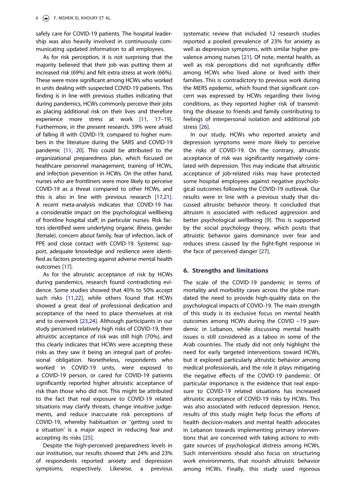safely care for COVID-19 patients. The hospital leadership was also heavily involved in continuously communicating updated information to all employees.

<span id="page-6-1"></span>As for risk perception, it is not surprising that the majority believed that their job was putting them at increased risk (69%) and felt extra stress at work (66%). These were more significant among HCWs who worked in units dealing with suspected COVID-19 patients. This finding is in line with previous studies indicating that during pandemics, HCWs commonly perceive their jobs as placing additional risk on their lives and therefore experience more stress at work [[11,](#page-8-7) [17–19\]](#page-8-13). Furthermore, in the present research, 59% were afraid of falling ill with COVID-19, compared to higher numbers in the literature during the SARS and COVID-19 pandemic [\[11](#page-8-7), [20](#page-8-14)]. This could be attributed to the organizational preparedness plan, which focused on healthcare personnel management, training of HCWs, and infection prevention in HCWs. On the other hand, nurses who are frontliners were more likely to perceive COVID-19 as a threat compared to other HCWs, and this is also in line with previous research [[17,](#page-8-13)[21\]](#page-8-15). A recent meta-analysis indicates that COVID-19 has a considerable impact on the psychological wellbeing of frontline hospital staff, in particular nurses. Risk factors identified were underlying organic illness, gender (female), concern about family, fear of infection, lack of PPE and close contact with COVID-19. Systemic support, adequate knowledge and resilience were identified as factors protecting against adverse mental health outcomes [[17\]](#page-8-13).

<span id="page-6-4"></span><span id="page-6-3"></span><span id="page-6-0"></span>As for the altruistic acceptance of risk by HCWs during pandemics, research found contradicting evidence. Some studies showed that 40% to 50% accept such risks [\[11,](#page-8-7)[22\]](#page-8-16), while others found that HCWs showed a great deal of professional dedication and acceptance of the need to place themselves at risk and to overwork [[23](#page-8-17)[,24](#page-8-18)]. Although participants in our study perceived relatively high risks of COVID-19, their altruistic acceptance of risk was still high (70%), and this clearly indicates that HCWs were accepting these risks as they saw it being an integral part of professional obligation. Nonetheless, respondents who worked in COVID-19 units, were exposed to a COVID-19 person, or cared for COVID-19 patients significantly reported higher altruistic acceptance of risk than those who did not. This might be attributed to the fact that real exposure to COVID-19 related situations may clarify threats, change intuitive judgements, and reduce inaccurate risk perceptions of COVID-19, whereby habituation or 'getting used to a situation' is a major aspect in reducing fear and accepting its risks [[25](#page-8-19)].

<span id="page-6-5"></span>Despite the high-perceived preparedness levels in our institution, our results showed that 24% and 23% of respondents reported anxiety and depression symptoms, respectively. Likewise, a previous

<span id="page-6-2"></span>systematic review that included 12 research studies reported a pooled prevalence of 23% for anxiety as well as depression symptoms, with similar higher prevalence among nurses [\[21\]](#page-8-15). Of note, mental health, as well as risk perceptions did not significantly differ among HCWs who lived alone or lived with their families. This is contradictory to previous work during the MERS epidemic, which found that significant concern was expressed by HCWs regarding their living conditions, as they reported higher risk of transmitting the disease to friends and family contributing to feelings of interpersonal isolation and additional job stress [\[26\]](#page-8-20).

<span id="page-6-6"></span>In our study, HCWs who reported anxiety and depression symptoms were more likely to perceive the risks of COVID-19. On the contrary, altruistic acceptance of risk was significantly negatively correlated with depression. This may indicate that altruistic acceptance of job-related risks may have protected some hospital employees against negative psychological outcomes following the COVID-19 outbreak. Our results were in line with a previous study that discussed altruistic behavior theory. It concluded that altruism is associated with reduced aggression and better psychological wellbeing [\[9](#page-8-5)]. This is supported by the social psychology theory, which posits that altruistic behavior gains dominance over fear and reduces stress caused by the fight-fight response in the face of perceived danger [[27\]](#page-8-21).

## <span id="page-6-7"></span>**6. Strengths and limitations**

The scale of the COVID-19 pandemic in terms of mortality and morbidity cases across the globe mandated the need to provide high-quality data on the psychological impacts of COVID-19. The main strength of this study is its exclusive focus on mental health outcomes among HCWs during the COVID −19 pandemic in Lebanon, while discussing mental health issues is still considered as a taboo in some of the Arab countries. The study did not only highlight the need for early targeted interventions toward HCWs, but it explored particularly altruistic behavior among medical professionals, and the role it plays mitigating the negative effects of the COVID-19 pandemic. Of particular importance is the evidence that real exposure to COVID-19 related situations has increased altruistic acceptance of COVID-19 risks by HCWs. This was also associated with reduced depression. Hence, results of this study might help focus the efforts of health decision-makers and mental health advocates in Lebanon towards implementing primary interventions that are concerned with taking actions to mitigate sources of psychological distress among HCWs. Such interventions should also focus on structuring work environments, that nourish altruistic behavior among HCWs. Finally, this study used rigorous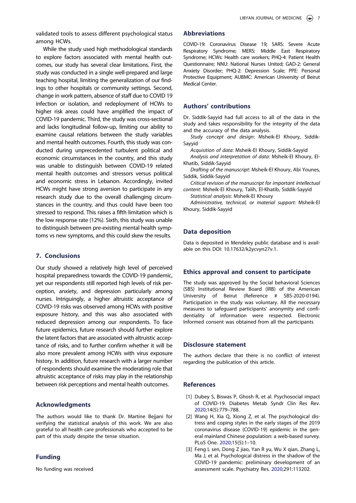validated tools to assess different psychological status among HCWs.

While the study used high methodological standards to explore factors associated with mental health outcomes, our study has several clear limitations. First, the study was conducted in a single well-prepared and large teaching hospital, limiting the generalization of our findings to other hospitals or community settings. Second, change in work pattern, absence of staff due to COVID 19 infection or isolation, and redeployment of HCWs to higher risk areas could have amplified the impact of COVID-19 pandemic. Third, the study was cross-sectional and lacks longitudinal follow-up, limiting our ability to examine causal relations between the study variables and mental health outcomes. Fourth, this study was conducted during unprecedented turbulent political and economic circumstances in the country, and this study was unable to distinguish between COVID-19 related mental health outcomes and stressors versus political and economic stress in Lebanon. Accordingly, invited HCWs might have strong aversion to participate in any research study due to the overall challenging circumstances in the country, and thus could have been too stressed to respond. This raises a fifth limitation which is the low response rate (12%). Sixth, this study was unable to distinguish between pre-existing mental health symptoms vs new symptoms, and this could skew the results.

## **7. Conclusions**

Our study showed a relatively high level of perceived hospital preparedness towards the COVID-19 pandemic, yet our respondents still reported high levels of risk perception, anxiety, and depression particularly among nurses. Intriguingly, a higher altruistic acceptance of COVID-19 risks was observed among HCWs with positive exposure history, and this was also associated with reduced depression among our respondents. To face future epidemics, future research should further explore the latent factors that are associated with altruistic acceptance of risks, and to further confirm whether it will be also more prevalent among HCWs with virus exposure history. In addition, future research with a larger number of respondents should examine the moderating role that altruistic acceptance of risks may play in the relationship between risk perceptions and mental health outcomes.

## **Acknowledgments**

The authors would like to thank Dr. Martine Bejjani for verifying the statistical analysis of this work. We are also grateful to all health care professionals who accepted to be part of this study despite the tense situation.

#### **Funding**

No funding was received

#### **Abbreviations**

COVID-19: Coronavirus Disease 19; SARS: Severe Acute Respiratory Syndrome; MERS: Middle East Respiratory Syndrome; HCWs: Health care workers; PHQ-4: Patient Health Questionnaire; NNU: National Nurses United; GAD-2: General Anxiety Disorder; PHQ-2: Depression Scale; PPE: Personal Protective Equipment; AUBMC: American University of Beirut Medical Center.

#### **Authors' contributions**

Dr. Siddik-Sayyid had full access to all of the data in the study and takes responsibility for the integrity of the data and the accuracy of the data analysis.

*Study concept and design*: Msheik-El Khoury, Siddik-Sayyid

*Acquisition of data*: Msheik-El Khoury, Siddik-Sayyid

*Analysis and interpretation of data*: Msheik-El Khoury, El-Khatib, Siddik-Sayyid

*Drafting of the manuscript*: Msheik-El Khoury, Abi Younes, Siddik, Siddik-Sayyid

*Critical revision of the manuscript for important intellectual content*: Msheik-El Khoury, Talih, El-Khatib, Siddik-Sayyid *Statistical analysis*: Msheik-El Khoury

*Administrative, technical, or material support*: Msheik-El Khoury, Siddik-Sayyid

## **Data deposition**

Data is deposited in Mendeley public database and is available on this DOI: 10.17632/k2ycvyn27v.1.

## **Ethics approval and consent to participate**

The study was approved by the Social behavioral Sciences (SBS) Institutional Review Board (IRB) of the American University of Beirut (Reference # SBS-2020-0194). Participation in the study was voluntary. All the necessary measures to safeguard participants' anonymity and confidentiality of information were respected. Electronic Informed consent was obtained from all the participants

## **Disclosure statement**

The authors declare that there is no conflict of interest regarding the publication of this article.

#### **References**

- <span id="page-7-0"></span>[1] Dubey S, Biswas P, Ghosh R, et al. Psychosocial impact of COVID-19. Diabetes Metab Syndr Clin Res Rev. [2020](#page-1-2);14(5):779–788.
- <span id="page-7-1"></span>[2] Wang H, Xia Q, Xiong Z, et al. The psychological distress and coping styles in the early stages of the 2019 coronavirus disease (COVID-19) epidemic in the general mainland Chinese population: a web-based survey. PLoS One. [2020](#page-1-3);15(5):1–10.
- [3] Feng L sen, Dong Z jiao, Yan R yu, Wu X gian, Zhang L, Ma J, et al. Psychological distress in the shadow of the COVID-19 pandemic: preliminary development of an assessment scale. Psychiatry Res. 2020;291:113202.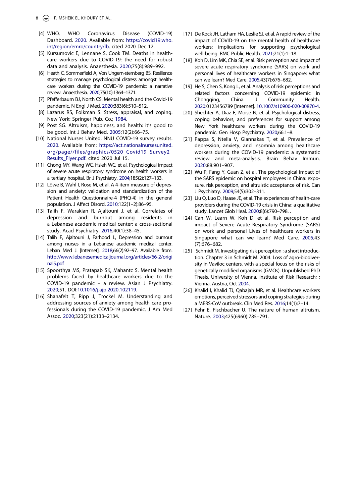- <span id="page-8-0"></span>[4] WHO. WHO Coronavirus Disease (COVID-19) Dashboard. [2020](#page-1-4). Available from: [https://covid19.who.](https://covid19.who.int/region/emro/country/lb)  [int/region/emro/country/lb](https://covid19.who.int/region/emro/country/lb). cited 2020 Dec 12.
- <span id="page-8-1"></span>[5] Kursumovic E, Lennane S, Cook TM. Deaths in healthcare workers due to COVID-19: the need for robust data and analysis. Anaesthesia. [2020;](#page-1-5)75(8):989–992.
- <span id="page-8-2"></span>[6] Heath C, Sommerfield A, Von Ungern-sternberg BS. Resilience strategies to manage psychological distress amongst healthcare workers during the COVID-19 pandemic: a narrative review. Anaesthesia. [2020](#page-1-6);75(10):1364–1371.
- <span id="page-8-3"></span>[7] Pfefferbaum BJ, North CS. Mental health and the Covid-19 pandemic. N Engl J Med. [2020;](#page-1-7)383(6):510–512.
- <span id="page-8-4"></span>[8] Lazarus RS, Folkman S. Stress, appraisal, and coping. New York: Springer Pub. Co.; [1984.](#page-2-0)
- <span id="page-8-5"></span>[9] Post SG. Altruism, happiness, and health: it's good to be good. Int J Behav Med. [2005;](#page-2-1)12(2):66–75.
- <span id="page-8-6"></span>[10] National Nurses United. NNU COVID-19 survey results. [2020](#page-2-2). Available from: [https://act.nationalnursesunited.](https://act.nationalnursesunited.org/page//files/graphics/0520_Covid19_Survey2_Results_Flyer.pdf)  [org/page//files/graphics/0520\\_Covid19\\_Survey2\\_](https://act.nationalnursesunited.org/page//files/graphics/0520_Covid19_Survey2_Results_Flyer.pdf) [Results\\_Flyer.pdf.](https://act.nationalnursesunited.org/page//files/graphics/0520_Covid19_Survey2_Results_Flyer.pdf) cited 2020 Jul 15.
- <span id="page-8-7"></span>[11] Chong MY, Wang WC, Hsieh WC, et al. Psychological impact of severe acute respiratory syndrome on health workers in a tertiary hospital. Br J Psychiatry. [2004](#page-2-3);185(2):127–133.
- <span id="page-8-8"></span>[12] Löwe B, Wahl I, Rose M, et al. A 4-item measure of depression and anxiety: validation and standardization of the Patient Health Questionnaire-4 (PHQ-4) in the general population. J Affect Disord. [2010;](#page-2-4)122(1–2):86–95.
- <span id="page-8-9"></span>[13] Talih F, Warakian R, Ajaltouni J, et al. Correlates of depression and burnout among residents in a Lebanese academic medical center: a cross-sectional study. Acad Psychiatry. [2016](#page-5-3);40(1):38–45.
- <span id="page-8-10"></span>[14] Talih F, Ajaltouni J, Farhood L, Depression and burnout among nurses in a Lebanese academic medical center. Leban Med J. [Internet]. [2018;](#page-5-3)66(2):92–97. Available from. [http://www.lebanesemedicaljournal.org/articles/66-2/origi](http://www.lebanesemedicaljournal.org/articles/66-2/original5.pdf) [nal5.pdf](http://www.lebanesemedicaljournal.org/articles/66-2/original5.pdf)
- <span id="page-8-11"></span>[15] Spoorthya MS, Pratapab SK, Mahantc S. Mental health problems faced by healthcare workers due to the COVID-19 pandemic – a review. Asian J Psychiatry. [2020](#page-5-4);51. DOI:[10.1016/j.ajp.2020.102119.](https://doi.org/10.1016/j.ajp.2020.102119)
- <span id="page-8-12"></span>[16] Shanafelt T, Ripp J, Trockel M. Understanding and addressing sources of anxiety among health care professionals during the COVID-19 pandemic. J Am Med Assoc. [2020;](#page-5-5)323(21):2133–2134.
- <span id="page-8-13"></span>[17] De Kock JH, Latham HA, Leslie SJ, et al. A rapid review of the impact of COVID-19 on the mental health of healthcare workers: implications for supporting psychological well-being. BMC Public Health. [2021](#page-6-0);21(1):1–18.
- [18] Koh D, Lim MK, Chia SE, et al. Risk perception and impact of severe acute respiratory syndrome (SARS) on work and personal lives of healthcare workers in Singapore: what can we learn? Med Care. 2005;43(7):676–682.
- [19] He S, Chen S, Kong L, et al. Analysis of risk perceptions and related factors concerning COVID-19 epidemic in Chongqing, China. J Community Health. 2020:0123456789 [Internet]. [10.1007/s10900-020-00870-4](https://doi.org/10.1007/s10900-020-00870-4).
- <span id="page-8-14"></span>[20] Shechter A, Diaz F, Moise N, et al. Psychological distress, coping behaviors, and preferences for support among New York healthcare workers during the COVID-19 pandemic. Gen Hosp Psychiatry. [2020;](#page-6-1)66:1–8.
- <span id="page-8-15"></span>[21] Pappa S, Ntella V, Giannakas T, et al. Prevalence of depression, anxiety, and insomnia among healthcare workers during the COVID-19 pandemic: a systematic review and meta-analysis. Brain Behav Immun. [2020](#page-6-2);88:901–907.
- <span id="page-8-16"></span>[22] Wu P, Fang Y, Guan Z, et al. The psychological impact of the SARS epidemic on hospital employees in China: exposure, risk perception, and altruistic acceptance of risk. Can J Psychiatry. [2009](#page-6-3);54(5):302–311.
- <span id="page-8-17"></span>[23] Liu Q, Luo D, Haase JE, et al. The experiences of health-care providers during the COVID-19 crisis in China: a qualitative study. Lancet Glob Heal. [2020](#page-6-4);8(6):790–798. .
- <span id="page-8-18"></span>[24] Can W, Learn W, Koh D, et al. Risk perception and impact of Severe Acute Respiratory Syndrome (SARS) on work and personal Lives of healthcare workers in Singapore what can we learn? Med Care. [2005](#page-6-4);43 (7):676–682.
- <span id="page-8-19"></span>[25] Schmidt M. Investigating risk perception : a short introduction. Chapter 3 in Schmidt M. 2004. Loss of agro-biodiversity in Vaviloc centers, with a special focus on the risks of genetically modified organisms (GMOs). Unpublished PhD Thesis, University of Vienna, Institute of Risk Research; ; Vienna, Austria, Oct [2004](#page-6-5).
- <span id="page-8-20"></span>[26] Khalid I, Khalid TJ, Qabajah MR, et al. Healthcare workers emotions, perceived stressors and coping strategies during a MERS-CoV outbreak. Clin Med Res. [2016;](#page-6-6)14(1):7–14.
- <span id="page-8-21"></span>[27] Fehr E, Fischbacher U. The nature of human altruism. Nature. [2003;](#page-6-7)425(6960):785–791.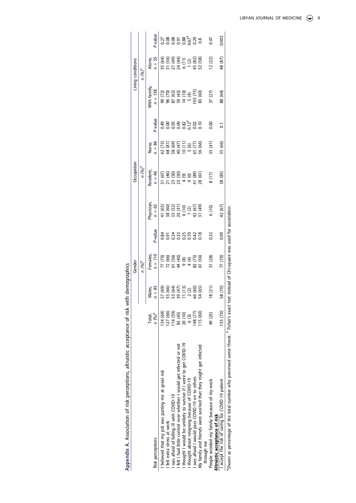<span id="page-9-0"></span>

|                                                                                           |           |                                                   | Gender                                                                                      |                      |                                                                          | Occupation                                                                                               |                                                     |         |                                              | iving conditions                                                       |                        |
|-------------------------------------------------------------------------------------------|-----------|---------------------------------------------------|---------------------------------------------------------------------------------------------|----------------------|--------------------------------------------------------------------------|----------------------------------------------------------------------------------------------------------|-----------------------------------------------------|---------|----------------------------------------------|------------------------------------------------------------------------|------------------------|
|                                                                                           |           |                                                   | $n (96)^q$                                                                                  |                      |                                                                          | $n \frac{(\%)^q}{\ }$                                                                                    |                                                     |         |                                              | $n (%)^q$                                                              |                        |
|                                                                                           | Total,    | Males,                                            | emales                                                                                      |                      | hysician                                                                 | Resident                                                                                                 | Nurse,                                              |         | Vith famil <sup>,</sup>                      | Alone,                                                                 |                        |
| Risk perceptions                                                                          | $n (%)^a$ | $\approx$                                         | $n = 110$                                                                                   | <sup>2</sup> -value  | $n = 63$                                                                 | $n = 46$                                                                                                 | $n = 84$                                            | aulev-c | $n = 138$                                    | $n = 55$                                                               | P-value                |
| believed that my job was putting me at great risk                                         | 134 (69)  |                                                   | 77 (70)                                                                                     |                      |                                                                          | (1(67)                                                                                                   |                                                     | 0.49    | 99 (72)                                      |                                                                        |                        |
| felt extra stress at work                                                                 | 27(66)    | 57 (69)<br>55 (66)<br>53 (47)<br>11 (13)<br>2 (2) |                                                                                             | 85333623<br>85333623 |                                                                          | $\begin{array}{l} 21 (46) \\ 71 (50) \\ 13 (50) \\ 21 (50) \\ 14 (50) \\ 41 (89) \\ 41 (61) \end{array}$ | 62 (73)<br>68 (81)<br>68 (47)<br>65 (77)<br>65 (77) |         |                                              | 35 (64)<br>31 (56)<br>31 (49)<br>32 (44)<br>6 (11)<br>4 (88)<br>4 (88) |                        |
| was afraid of falling ill with COVID-19                                                   | 14(59)    |                                                   |                                                                                             |                      |                                                                          |                                                                                                          |                                                     |         |                                              |                                                                        |                        |
| I felt I had little control over whether I would get infected or not                      | 83 (43)   |                                                   |                                                                                             |                      |                                                                          |                                                                                                          |                                                     |         |                                              |                                                                        |                        |
| I thought I would be unlikely to survive if I were to get COVID-19                        | 20 (10)   |                                                   |                                                                                             |                      |                                                                          |                                                                                                          |                                                     |         |                                              |                                                                        |                        |
| thought about resigning because of COVID-19                                               | 6(3)      |                                                   | $\frac{66}{66}$<br>$\frac{66}{66}$<br>$\frac{66}{66}$<br>$\frac{66}{66}$<br>$\frac{66}{66}$ |                      |                                                                          |                                                                                                          |                                                     |         | 96 (70)<br>87 (63)<br>96 143 19<br>96 143 19 |                                                                        | 8855876788<br>00000000 |
| was afraid I would pass COVID-19 on to others                                             | 48 (77)   | 66 (60)                                           |                                                                                             |                      |                                                                          |                                                                                                          |                                                     |         |                                              |                                                                        |                        |
| My family and friends were worried that they might get infected                           | 15 (60)   | 54 (65)                                           | 82 (75)<br>61 (56)                                                                          |                      | 41 (65)<br>38 (52)<br>38 (52)<br>6 (10)<br>67 (49)<br>42 (49)<br>31 (49) |                                                                                                          | 56 (66)                                             |         | 103 (75)<br>83 (60)                          |                                                                        |                        |
| through me                                                                                |           |                                                   |                                                                                             |                      |                                                                          |                                                                                                          |                                                     |         |                                              |                                                                        |                        |
| People avoided my family because of my work                                               | 49 (25)   | (21)                                              | 31 (28)                                                                                     | 32                   | 6(10)                                                                    | 8(17)                                                                                                    | 35 (41)                                             | 500     | 37 (27)                                      | 12(22)                                                                 | 0.47                   |
| Altruistic acceptance of risk                                                             |           |                                                   |                                                                                             |                      |                                                                          |                                                                                                          |                                                     |         |                                              |                                                                        |                        |
| accept the risk of caring for COVID-19 patient                                            | 135 (70)  | (0/9)                                             | 77 (70)                                                                                     | 0.99                 | 42 (67)                                                                  | 38 (83)                                                                                                  | 55 (66)                                             |         | 88 (64)                                      | 48 (87)                                                                | 003                    |
| "Shown as percentage of the total number who perceived some threat. " Fisher's exact test |           |                                                   | instead of Chi-square was used for association                                              |                      |                                                                          |                                                                                                          |                                                     |         |                                              |                                                                        |                        |

Appendix A. Association of risk perceptions, altruistic acceptance of risk with demographics **Appendix A.** Association of risk perceptions, altruistic acceptance of risk with demographics